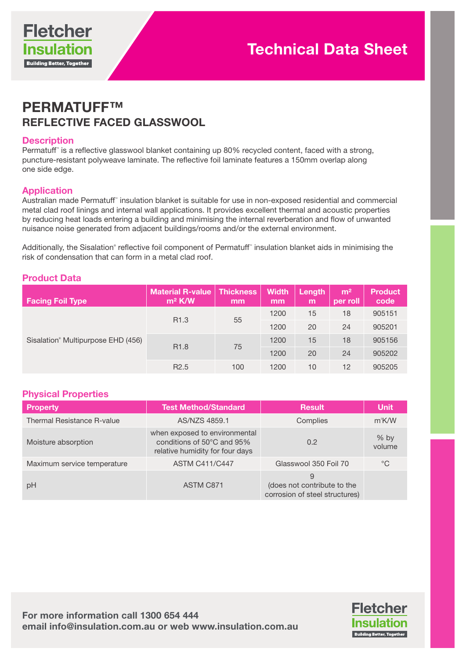

# PERMATUFF™ REFLECTIVE FACED GLASSWOOL

#### **Description**

Permatuff" is a reflective glasswool blanket containing up 80% recycled content, faced with a strong, puncture-resistant polyweave laminate. The reflective foil laminate features a 150mm overlap along one side edge.

#### Application

Australian made Permatuff™ insulation blanket is suitable for use in non-exposed residential and commercial metal clad roof linings and internal wall applications. It provides excellent thermal and acoustic properties by reducing heat loads entering a building and minimising the internal reverberation and flow of unwanted nuisance noise generated from adjacent buildings/rooms and/or the external environment.

Additionally, the Sisalation® reflective foil component of Permatuff™ insulation blanket aids in minimising the risk of condensation that can form in a metal clad roof.

# Product Data

| <b>Facing Foil Type</b>                        | <b>Material R-value</b><br>$m^2$ K/W | <b>Thickness</b><br>mm | <b>Width</b><br>mm | Length<br>m | m <sup>2</sup><br>per roll | <b>Product</b><br>code |
|------------------------------------------------|--------------------------------------|------------------------|--------------------|-------------|----------------------------|------------------------|
| Sisalation <sup>®</sup> Multipurpose EHD (456) | R <sub>1.3</sub>                     | 55                     | 1200               | 15          | 18                         | 905151                 |
|                                                |                                      |                        | 1200               | 20          | 24                         | 905201                 |
|                                                | R <sub>1.8</sub>                     | 75                     | 1200               | 15          | 18                         | 905156                 |
|                                                |                                      |                        | 1200               | 20          | 24                         | 905202                 |
|                                                | R <sub>2.5</sub>                     | 100                    | 1200               | 10          | 12                         | 905205                 |

#### Physical Properties

| <b>Property</b>             | <b>Test Method/Standard</b>                                                                    | <b>Result</b>                                                      | <b>Unit</b>      |
|-----------------------------|------------------------------------------------------------------------------------------------|--------------------------------------------------------------------|------------------|
| Thermal Resistance R-value  | AS/NZS 4859.1                                                                                  | Complies                                                           | $m^2$ K/W        |
| Moisture absorption         | when exposed to environmental<br>conditions of 50°C and 95%<br>relative humidity for four days | 0.2                                                                | $%$ by<br>volume |
| Maximum service temperature | <b>ASTM C411/C447</b>                                                                          | Glasswool 350 Foil 70                                              | $^{\circ}C$      |
| pH                          | ASTM C871                                                                                      | 9<br>(does not contribute to the<br>corrosion of steel structures) |                  |